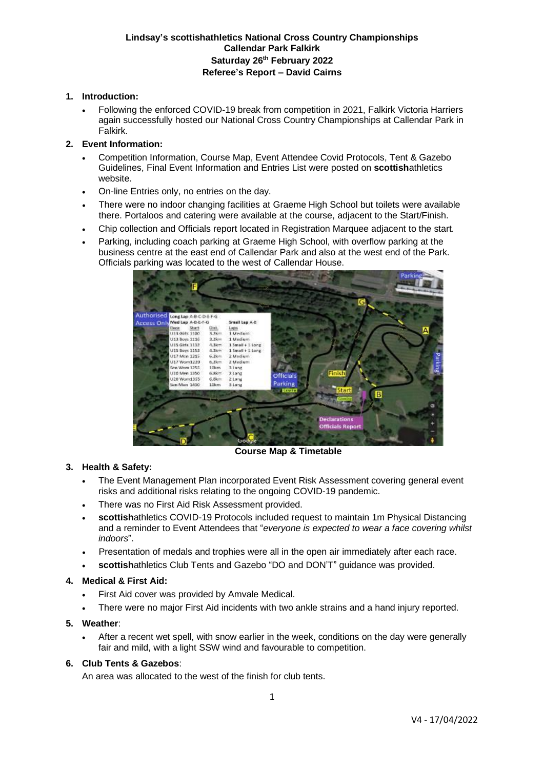# **1. Introduction:**

• Following the enforced COVID-19 break from competition in 2021, Falkirk Victoria Harriers again successfully hosted our National Cross Country Championships at Callendar Park in Falkirk.

### **2. Event Information:**

- Competition Information, Course Map, Event Attendee Covid Protocols, Tent & Gazebo Guidelines, Final Event Information and Entries List were posted on **scottish**athletics website.
- On-line Entries only, no entries on the day.
- There were no indoor changing facilities at Graeme High School but toilets were available there. Portaloos and catering were available at the course, adjacent to the Start/Finish.
- Chip collection and Officials report located in Registration Marquee adjacent to the start.
- Parking, including coach parking at Graeme High School, with overflow parking at the business centre at the east end of Callendar Park and also at the west end of the Park. Officials parking was located to the west of Callendar House.



**Course Map & Timetable**

## **3. Health & Safety:**

- The Event Management Plan incorporated Event Risk Assessment covering general event risks and additional risks relating to the ongoing COVID-19 pandemic.
- There was no First Aid Risk Assessment provided.
- **scottish**athletics COVID-19 Protocols included request to maintain 1m Physical Distancing and a reminder to Event Attendees that "*everyone is expected to wear a face covering whilst indoors*".
- Presentation of medals and trophies were all in the open air immediately after each race.
- **scottish**athletics Club Tents and Gazebo "DO and DON'T" guidance was provided.

## **4. Medical & First Aid:**

- First Aid cover was provided by Amvale Medical.
- There were no major First Aid incidents with two ankle strains and a hand injury reported.

### **5. Weather**:

• After a recent wet spell, with snow earlier in the week, conditions on the day were generally fair and mild, with a light SSW wind and favourable to competition.

## **6. Club Tents & Gazebos**:

An area was allocated to the west of the finish for club tents.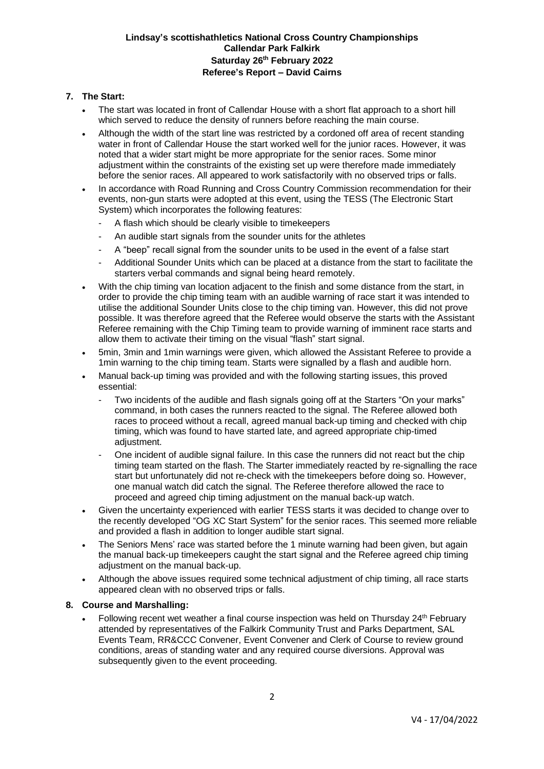# **7. The Start:**

- The start was located in front of Callendar House with a short flat approach to a short hill which served to reduce the density of runners before reaching the main course.
- Although the width of the start line was restricted by a cordoned off area of recent standing water in front of Callendar House the start worked well for the junior races. However, it was noted that a wider start might be more appropriate for the senior races. Some minor adjustment within the constraints of the existing set up were therefore made immediately before the senior races. All appeared to work satisfactorily with no observed trips or falls.
- In accordance with Road Running and Cross Country Commission recommendation for their events, non-gun starts were adopted at this event, using the TESS (The Electronic Start System) which incorporates the following features:
	- A flash which should be clearly visible to timekeepers
	- An audible start signals from the sounder units for the athletes
	- A "beep" recall signal from the sounder units to be used in the event of a false start
	- Additional Sounder Units which can be placed at a distance from the start to facilitate the starters verbal commands and signal being heard remotely.
- With the chip timing van location adjacent to the finish and some distance from the start, in order to provide the chip timing team with an audible warning of race start it was intended to utilise the additional Sounder Units close to the chip timing van. However, this did not prove possible. It was therefore agreed that the Referee would observe the starts with the Assistant Referee remaining with the Chip Timing team to provide warning of imminent race starts and allow them to activate their timing on the visual "flash" start signal.
- 5min, 3min and 1min warnings were given, which allowed the Assistant Referee to provide a 1min warning to the chip timing team. Starts were signalled by a flash and audible horn.
- Manual back-up timing was provided and with the following starting issues, this proved essential:
	- Two incidents of the audible and flash signals going off at the Starters "On your marks" command, in both cases the runners reacted to the signal. The Referee allowed both races to proceed without a recall, agreed manual back-up timing and checked with chip timing, which was found to have started late, and agreed appropriate chip-timed adjustment.
	- One incident of audible signal failure. In this case the runners did not react but the chip timing team started on the flash. The Starter immediately reacted by re-signalling the race start but unfortunately did not re-check with the timekeepers before doing so. However, one manual watch did catch the signal. The Referee therefore allowed the race to proceed and agreed chip timing adjustment on the manual back-up watch.
- Given the uncertainty experienced with earlier TESS starts it was decided to change over to the recently developed "OG XC Start System" for the senior races. This seemed more reliable and provided a flash in addition to longer audible start signal.
- The Seniors Mens' race was started before the 1 minute warning had been given, but again the manual back-up timekeepers caught the start signal and the Referee agreed chip timing adiustment on the manual back-up.
- Although the above issues required some technical adjustment of chip timing, all race starts appeared clean with no observed trips or falls.

#### **8. Course and Marshalling:**

Following recent wet weather a final course inspection was held on Thursday 24<sup>th</sup> February attended by representatives of the Falkirk Community Trust and Parks Department, SAL Events Team, RR&CCC Convener, Event Convener and Clerk of Course to review ground conditions, areas of standing water and any required course diversions. Approval was subsequently given to the event proceeding.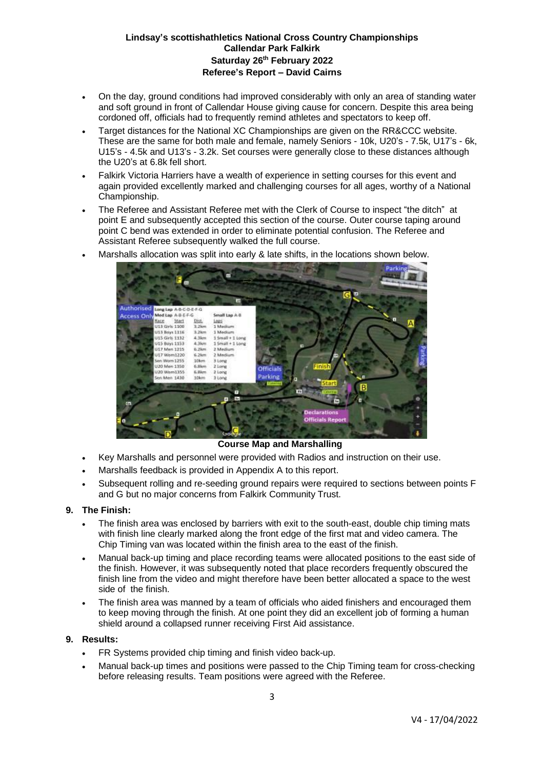- On the day, ground conditions had improved considerably with only an area of standing water and soft ground in front of Callendar House giving cause for concern. Despite this area being cordoned off, officials had to frequently remind athletes and spectators to keep off.
- Target distances for the National XC Championships are given on the RR&CCC website. These are the same for both male and female, namely Seniors - 10k, U20's - 7.5k, U17's - 6k, U15's - 4.5k and U13's - 3.2k. Set courses were generally close to these distances although the U20's at 6.8k fell short.
- Falkirk Victoria Harriers have a wealth of experience in setting courses for this event and again provided excellently marked and challenging courses for all ages, worthy of a National Championship.
- The Referee and Assistant Referee met with the Clerk of Course to inspect "the ditch" at point E and subsequently accepted this section of the course. Outer course taping around point C bend was extended in order to eliminate potential confusion. The Referee and Assistant Referee subsequently walked the full course.



Marshalls allocation was split into early & late shifts, in the locations shown below.

**Course Map and Marshalling**

- Key Marshalls and personnel were provided with Radios and instruction on their use.
- Marshalls feedback is provided in Appendix A to this report.
- Subsequent rolling and re-seeding ground repairs were required to sections between points F and G but no major concerns from Falkirk Community Trust.

## **9. The Finish:**

- The finish area was enclosed by barriers with exit to the south-east, double chip timing mats with finish line clearly marked along the front edge of the first mat and video camera. The Chip Timing van was located within the finish area to the east of the finish.
- Manual back-up timing and place recording teams were allocated positions to the east side of the finish. However, it was subsequently noted that place recorders frequently obscured the finish line from the video and might therefore have been better allocated a space to the west side of the finish.
- The finish area was manned by a team of officials who aided finishers and encouraged them to keep moving through the finish. At one point they did an excellent job of forming a human shield around a collapsed runner receiving First Aid assistance.

### **9. Results:**

- FR Systems provided chip timing and finish video back-up.
- Manual back-up times and positions were passed to the Chip Timing team for cross-checking before releasing results. Team positions were agreed with the Referee.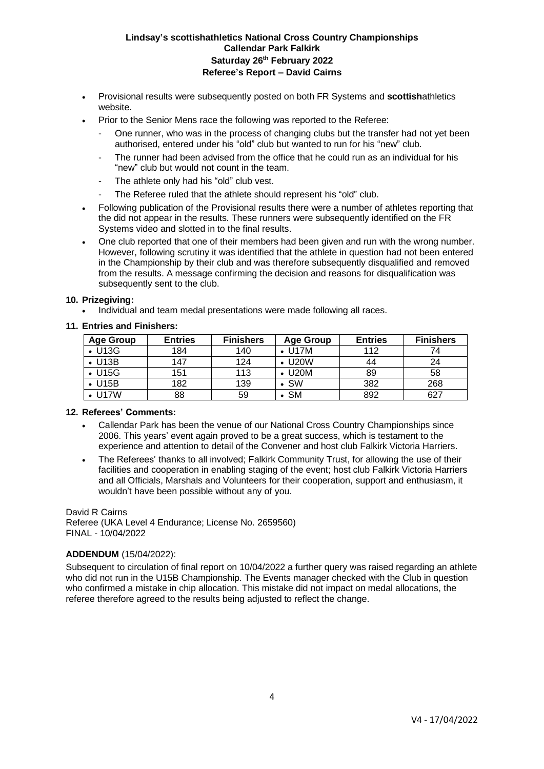- Provisional results were subsequently posted on both FR Systems and **scottish**athletics website.
- Prior to the Senior Mens race the following was reported to the Referee:
	- One runner, who was in the process of changing clubs but the transfer had not yet been authorised, entered under his "old" club but wanted to run for his "new" club.
	- The runner had been advised from the office that he could run as an individual for his "new" club but would not count in the team.
	- The athlete only had his "old" club vest.
	- The Referee ruled that the athlete should represent his "old" club.
- Following publication of the Provisional results there were a number of athletes reporting that the did not appear in the results. These runners were subsequently identified on the FR Systems video and slotted in to the final results.
- One club reported that one of their members had been given and run with the wrong number. However, following scrutiny it was identified that the athlete in question had not been entered in the Championship by their club and was therefore subsequently disqualified and removed from the results. A message confirming the decision and reasons for disqualification was subsequently sent to the club.

#### **10. Prizegiving:**

• Individual and team medal presentations were made following all races.

## **11. Entries and Finishers:**

| Age Group      | <b>Entries</b> | <b>Finishers</b> | <b>Age Group</b> | <b>Entries</b> | <b>Finishers</b> |
|----------------|----------------|------------------|------------------|----------------|------------------|
| $\bullet$ U13G | 184            | 140              | , U17M           | 112            | 74               |
| $\cdot$ U13B   | 147            | 124              | <b>U20W</b>      | 44             | 24               |
| $\bullet$ U15G | 151            | 113              | <b>U20M</b>      | 89             | 58               |
| $\bullet$ U15B | 182            | 139              | <b>SW</b>        | 382            | 268              |
| <b>U17W</b>    | 88             | 59               | <b>SM</b>        | 892            | 627              |

#### **12. Referees' Comments:**

- Callendar Park has been the venue of our National Cross Country Championships since 2006. This years' event again proved to be a great success, which is testament to the experience and attention to detail of the Convener and host club Falkirk Victoria Harriers.
- The Referees' thanks to all involved; Falkirk Community Trust, for allowing the use of their facilities and cooperation in enabling staging of the event; host club Falkirk Victoria Harriers and all Officials, Marshals and Volunteers for their cooperation, support and enthusiasm, it wouldn't have been possible without any of you.

David R Cairns Referee (UKA Level 4 Endurance; License No. 2659560) FINAL - 10/04/2022

## **ADDENDUM** (15/04/2022):

Subsequent to circulation of final report on 10/04/2022 a further query was raised regarding an athlete who did not run in the U15B Championship. The Events manager checked with the Club in question who confirmed a mistake in chip allocation. This mistake did not impact on medal allocations, the referee therefore agreed to the results being adjusted to reflect the change.